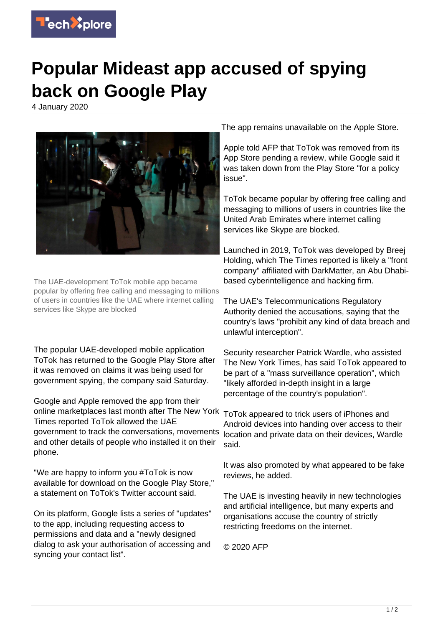

## **Popular Mideast app accused of spying back on Google Play**

4 January 2020



The UAE-development ToTok mobile app became popular by offering free calling and messaging to millions of users in countries like the UAE where internet calling services like Skype are blocked

The popular UAE-developed mobile application ToTok has returned to the Google Play Store after it was removed on claims it was being used for government spying, the company said Saturday.

Google and Apple removed the app from their online marketplaces last month after The New York ToTok appeared to trick users of iPhones and Times reported ToTok allowed the UAE government to track the conversations, movements and other details of people who installed it on their phone.

"We are happy to inform you #ToTok is now available for download on the Google Play Store," a statement on ToTok's Twitter account said.

On its platform, Google lists a series of "updates" to the app, including requesting access to permissions and data and a "newly designed dialog to ask your authorisation of accessing and syncing your contact list".

The app remains unavailable on the Apple Store.

Apple told AFP that ToTok was removed from its App Store pending a review, while Google said it was taken down from the Play Store "for a policy issue".

ToTok became popular by offering free calling and messaging to millions of users in countries like the United Arab Emirates where internet calling services like Skype are blocked.

Launched in 2019, ToTok was developed by Breej Holding, which The Times reported is likely a "front company" affiliated with DarkMatter, an Abu Dhabibased cyberintelligence and hacking firm.

The UAE's Telecommunications Regulatory Authority denied the accusations, saying that the country's laws "prohibit any kind of data breach and unlawful interception".

Security researcher Patrick Wardle, who assisted The New York Times, has said ToTok appeared to be part of a "mass surveillance operation", which "likely afforded in-depth insight in a large percentage of the country's population".

Android devices into handing over access to their location and private data on their devices, Wardle said.

It was also promoted by what appeared to be fake reviews, he added.

The UAE is investing heavily in new technologies and artificial intelligence, but many experts and organisations accuse the country of strictly restricting freedoms on the internet.

© 2020 AFP